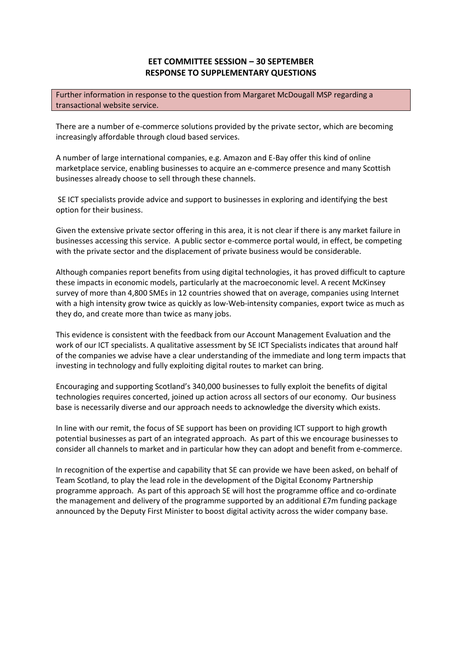## **EET COMMITTEE SESSION – 30 SEPTEMBER RESPONSE TO SUPPLEMENTARY QUESTIONS**

Further information in response to the question from Margaret McDougall MSP regarding a transactional website service.

There are a number of e-commerce solutions provided by the private sector, which are becoming increasingly affordable through cloud based services.

A number of large international companies, e.g. Amazon and E-Bay offer this kind of online marketplace service, enabling businesses to acquire an e-commerce presence and many Scottish businesses already choose to sell through these channels.

SE ICT specialists provide advice and support to businesses in exploring and identifying the best option for their business.

Given the extensive private sector offering in this area, it is not clear if there is any market failure in businesses accessing this service. A public sector e-commerce portal would, in effect, be competing with the private sector and the displacement of private business would be considerable.

Although companies report benefits from using digital technologies, it has proved difficult to capture these impacts in economic models, particularly at the macroeconomic level. A recent McKinsey survey of more than 4,800 SMEs in 12 countries showed that on average, companies using Internet with a high intensity grow twice as quickly as low-Web-intensity companies, export twice as much as they do, and create more than twice as many jobs.

This evidence is consistent with the feedback from our Account Management Evaluation and the work of our ICT specialists. A qualitative assessment by SE ICT Specialists indicates that around half of the companies we advise have a clear understanding of the immediate and long term impacts that investing in technology and fully exploiting digital routes to market can bring.

Encouraging and supporting Scotland's 340,000 businesses to fully exploit the benefits of digital technologies requires concerted, joined up action across all sectors of our economy. Our business base is necessarily diverse and our approach needs to acknowledge the diversity which exists.

In line with our remit, the focus of SE support has been on providing ICT support to high growth potential businesses as part of an integrated approach. As part of this we encourage businesses to consider all channels to market and in particular how they can adopt and benefit from e-commerce.

In recognition of the expertise and capability that SE can provide we have been asked, on behalf of Team Scotland, to play the lead role in the development of the Digital Economy Partnership programme approach. As part of this approach SE will host the programme office and co-ordinate the management and delivery of the programme supported by an additional £7m funding package announced by the Deputy First Minister to boost digital activity across the wider company base.